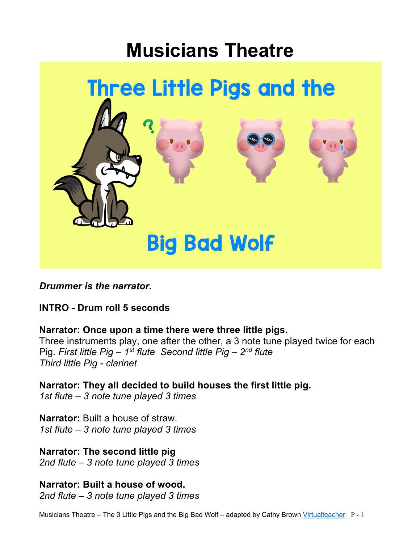# **Musicians Theatre**



*Drummer is the narrator.*

**INTRO - Drum roll 5 seconds**

**Narrator: Once upon a time there were three little pigs.**

Three instruments play, one after the other, a 3 note tune played twice for each Pig. *First little Pig – 1st flute Second little Pig – 2nd flute Third little Pig - clarinet* 

**Narrator: They all decided to build houses the first little pig.** *1st flute – 3 note tune played 3 times*

**Narrator:** Built a house of straw. *1st flute – 3 note tune played 3 times*

**Narrator: The second little pig**  *2nd flute – 3 note tune played 3 times*

**Narrator: Built a house of wood.**  *2nd flute – 3 note tune played 3 times*

Musicians Theatre – The 3 Little Pigs and the Big Bad Wolf – adapted by Cathy Brown Virtualteacher P - 1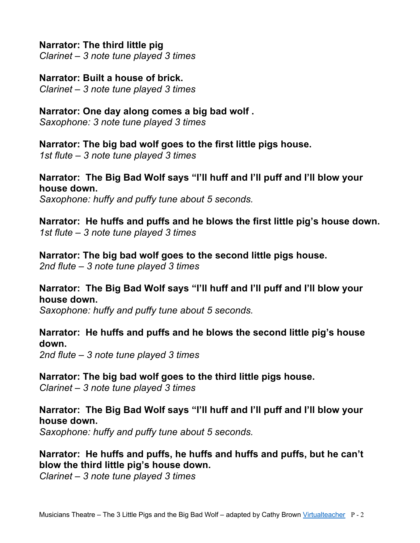#### **Narrator: The third little pig**

*Clarinet – 3 note tune played 3 times*

### **Narrator: Built a house of brick.**

*Clarinet – 3 note tune played 3 times*

#### **Narrator: One day along comes a big bad wolf .**

*Saxophone: 3 note tune played 3 times*

#### **Narrator: The big bad wolf goes to the first little pigs house.**

*1st flute – 3 note tune played 3 times*

# **Narrator: The Big Bad Wolf says "I'll huff and I'll puff and I'll blow your house down.**

*Saxophone: huffy and puffy tune about 5 seconds.*

**Narrator: He huffs and puffs and he blows the first little pig's house down.** *1st flute – 3 note tune played 3 times*

#### **Narrator: The big bad wolf goes to the second little pigs house.**

*2nd flute – 3 note tune played 3 times*

#### **Narrator: The Big Bad Wolf says "I'll huff and I'll puff and I'll blow your house down.**

*Saxophone: huffy and puffy tune about 5 seconds.*

# **Narrator: He huffs and puffs and he blows the second little pig's house down.**

*2nd flute – 3 note tune played 3 times*

# **Narrator: The big bad wolf goes to the third little pigs house.**

*Clarinet – 3 note tune played 3 times*

# **Narrator: The Big Bad Wolf says "I'll huff and I'll puff and I'll blow your house down.**

*Saxophone: huffy and puffy tune about 5 seconds.*

# **Narrator: He huffs and puffs, he huffs and huffs and puffs, but he can't blow the third little pig's house down.**

*Clarinet – 3 note tune played 3 times*